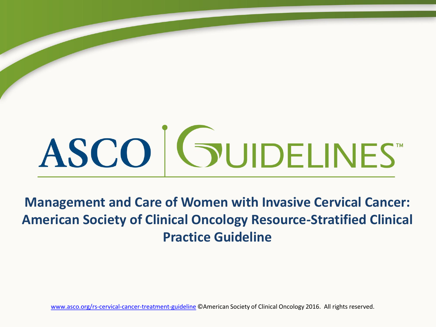# ASCO GUIDELINES

**Management and Care of Women with Invasive Cervical Cancer: American Society of Clinical Oncology Resource-Stratified Clinical Practice Guideline**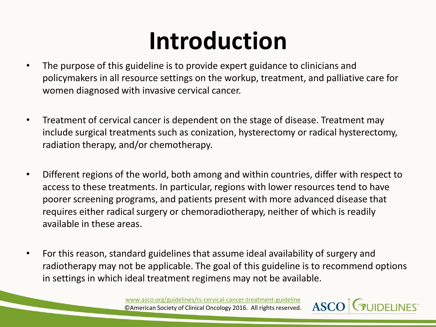### **Introduction**

- The purpose of this guideline is to provide expert guidance to clinicians and policymakers in all resource settings on the workup, treatment, and palliative care for women diagnosed with invasive cervical cancer.
- Treatment of cervical cancer is dependent on the stage of disease. Treatment may include surgical treatments such as conization, hysterectomy or radical hysterectomy, radiation therapy, and/or chemotherapy.
- Different regions of the world, both among and within countries, differ with respect to access to these treatments. In particular, regions with lower resources tend to have poorer screening programs, and patients present with more advanced disease that requires either radical surgery or chemoradiotherapy, neither of which is readily available in these areas.
- For this reason, standard guidelines that assume ideal availability of surgery and radiotherapy may not be applicable. The goal of this guideline is to recommend options in settings in which ideal treatment regimens may not be available.

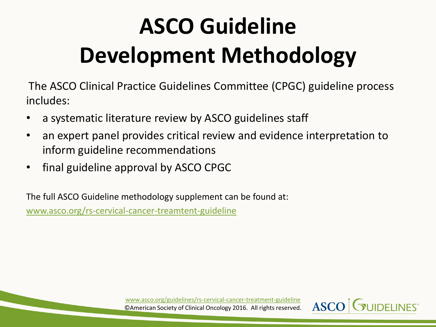### **ASCO Guideline Development Methodology**

The ASCO Clinical Practice Guidelines Committee (CPGC) guideline process includes:

- a systematic literature review by ASCO guidelines staff
- an expert panel provides critical review and evidence interpretation to inform guideline recommendations
- final guideline approval by ASCO CPGC

The full ASCO Guideline methodology supplement can be found at: [www.asco.org/rs-cervical-cancer-treamtent-guideline](http://www.asco.org/rs-cervical-cancer-treamtent-guideline)

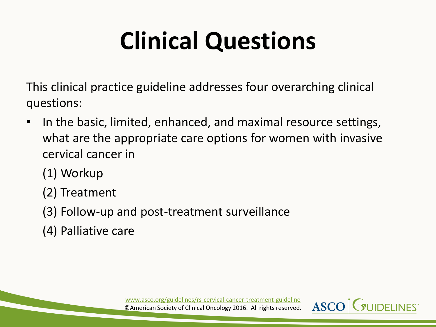# **Clinical Questions**

This clinical practice guideline addresses four overarching clinical questions:

- In the basic, limited, enhanced, and maximal resource settings, what are the appropriate care options for women with invasive cervical cancer in
	- (1) Workup
	- (2) Treatment
	- (3) Follow-up and post-treatment surveillance
	- (4) Palliative care

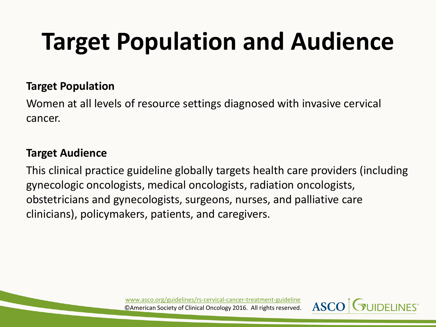# **Target Population and Audience**

#### **Target Population**

Women at all levels of resource settings diagnosed with invasive cervical cancer.

#### **Target Audience**

This clinical practice guideline globally targets health care providers (including gynecologic oncologists, medical oncologists, radiation oncologists, obstetricians and gynecologists, surgeons, nurses, and palliative care clinicians), policymakers, patients, and caregivers.

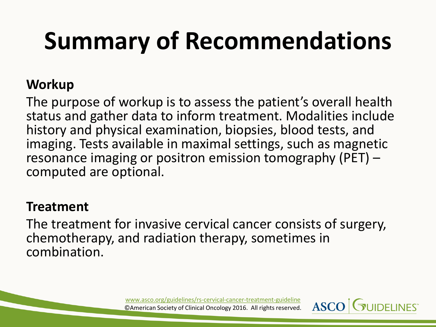#### **Workup**

The purpose of workup is to assess the patient's overall health status and gather data to inform treatment. Modalities include history and physical examination, biopsies, blood tests, and imaging. Tests available in maximal settings, such as magnetic resonance imaging or positron emission tomography (PET) – computed are optional.

#### **Treatment**

The treatment for invasive cervical cancer consists of surgery, chemotherapy, and radiation therapy, sometimes in combination.

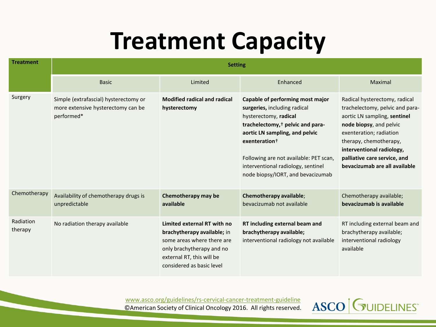### **Treatment Capacity**

| <b>Treatment</b>     |                                                                                           |                                                                                                                                                                                 |                                                                                                                                                                                                                                                                                                                               |                                                                                                                                                                                                                                                                                |
|----------------------|-------------------------------------------------------------------------------------------|---------------------------------------------------------------------------------------------------------------------------------------------------------------------------------|-------------------------------------------------------------------------------------------------------------------------------------------------------------------------------------------------------------------------------------------------------------------------------------------------------------------------------|--------------------------------------------------------------------------------------------------------------------------------------------------------------------------------------------------------------------------------------------------------------------------------|
|                      | <b>Basic</b>                                                                              | Limited                                                                                                                                                                         | Enhanced                                                                                                                                                                                                                                                                                                                      | Maximal                                                                                                                                                                                                                                                                        |
| Surgery              | Simple (extrafascial) hysterectomy or<br>more extensive hysterectomy can be<br>performed* | <b>Modified radical and radical</b><br>hysterectomy                                                                                                                             | Capable of performing most major<br>surgeries, including radical<br>hysterectomy, radical<br>trachelectomy, <sup>†</sup> pelvic and para-<br>aortic LN sampling, and pelvic<br>exenteration <sup>+</sup><br>Following are not available: PET scan,<br>interventional radiology, sentinel<br>node biopsy/IORT, and bevacizumab | Radical hysterectomy, radical<br>trachelectomy, pelvic and para-<br>aortic LN sampling, sentinel<br>node biopsy, and pelvic<br>exenteration; radiation<br>therapy, chemotherapy,<br>interventional radiology,<br>palliative care service, and<br>bevacizumab are all available |
| Chemotherapy         | Availability of chemotherapy drugs is<br>unpredictable                                    | Chemotherapy may be<br>available                                                                                                                                                | Chemotherapy available;<br>bevacizumab not available                                                                                                                                                                                                                                                                          | Chemotherapy available;<br>bevacizumab is available                                                                                                                                                                                                                            |
| Radiation<br>therapy | No radiation therapy available                                                            | Limited external RT with no<br>brachytherapy available; in<br>some areas where there are<br>only brachytherapy and no<br>external RT, this will be<br>considered as basic level | RT including external beam and<br>brachytherapy available;<br>interventional radiology not available                                                                                                                                                                                                                          | RT including external beam and<br>brachytherapy available;<br>interventional radiology<br>available                                                                                                                                                                            |

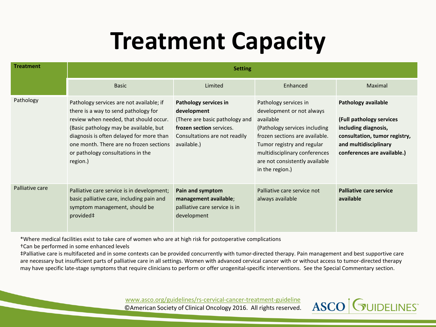### **Treatment Capacity**

| <b>Treatment</b> | <b>Setting</b>                                                                                                                                                                                                                                                                                               |                                                                                                                                                    |                                                                                                                                                                                                                                                        |                                                                                                                                                                  |  |
|------------------|--------------------------------------------------------------------------------------------------------------------------------------------------------------------------------------------------------------------------------------------------------------------------------------------------------------|----------------------------------------------------------------------------------------------------------------------------------------------------|--------------------------------------------------------------------------------------------------------------------------------------------------------------------------------------------------------------------------------------------------------|------------------------------------------------------------------------------------------------------------------------------------------------------------------|--|
|                  | <b>Basic</b>                                                                                                                                                                                                                                                                                                 | Limited                                                                                                                                            | Enhanced                                                                                                                                                                                                                                               | Maximal                                                                                                                                                          |  |
| Pathology        | Pathology services are not available; if<br>there is a way to send pathology for<br>review when needed, that should occur.<br>(Basic pathology may be available, but<br>diagnosis is often delayed for more than<br>one month. There are no frozen sections<br>or pathology consultations in the<br>region.) | Pathology services in<br>development<br>(There are basic pathology and<br>frozen section services.<br>Consultations are not readily<br>available.) | Pathology services in<br>development or not always<br>available<br>(Pathology services including<br>frozen sections are available.<br>Tumor registry and regular<br>multidisciplinary conferences<br>are not consistently available<br>in the region.) | Pathology available<br>(Full pathology services<br>including diagnosis,<br>consultation, tumor registry,<br>and multidisciplinary<br>conferences are available.) |  |
| Palliative care  | Palliative care service is in development;<br>basic palliative care, including pain and<br>symptom management, should be<br>provided#                                                                                                                                                                        | Pain and symptom<br>management available;<br>palliative care service is in<br>development                                                          | Palliative care service not<br>always available                                                                                                                                                                                                        | <b>Palliative care service</b><br>available                                                                                                                      |  |

\*Where medical facilities exist to take care of women who are at high risk for postoperative complications

†Can be performed in some enhanced levels

‡Palliative care is multifaceted and in some contexts can be provided concurrently with tumor-directed therapy. Pain management and best supportive care are necessary but insufficient parts of palliative care in all settings. Women with advanced cervical cancer with or without access to tumor-directed therapy may have specific late-stage symptoms that require clinicians to perform or offer urogenital-specific interventions. See the Special Commentary section.

[www.asco.org/guidelines/rs-cervical-cancer-treatment-guideline](http://www.asco.org/guidelines/rs-cervical-cancer-treatment-guideline)



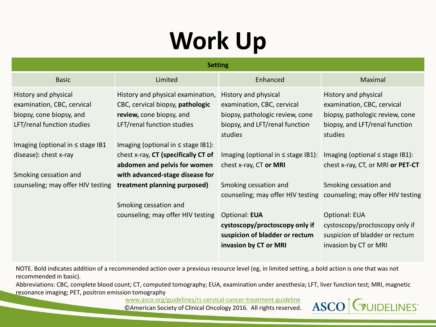### **Work Up**

|                                                                                                              | <b>Setting</b>                                                                                                                  |                                                                                                                         |                                                                                                                         |  |
|--------------------------------------------------------------------------------------------------------------|---------------------------------------------------------------------------------------------------------------------------------|-------------------------------------------------------------------------------------------------------------------------|-------------------------------------------------------------------------------------------------------------------------|--|
| <b>Basic</b>                                                                                                 | Limited                                                                                                                         | Enhanced                                                                                                                | Maximal                                                                                                                 |  |
| History and physical<br>examination, CBC, cervical<br>biopsy, cone biopsy, and<br>LFT/renal function studies | History and physical examination,<br>CBC, cervical biopsy, pathologic<br>review, cone biopsy, and<br>LFT/renal function studies | History and physical<br>examination, CBC, cervical<br>biopsy, pathologic review, cone<br>biopsy, and LFT/renal function | History and physical<br>examination, CBC, cervical<br>biopsy, pathologic review, cone<br>biopsy, and LFT/renal function |  |
| Imaging (optional in $\leq$ stage IB1<br>disease): chest x-ray                                               | Imaging (optional in $\leq$ stage IB1):<br>chest x-ray, CT (specifically CT of<br>abdomen and pelvis for women                  | studies<br>Imaging (optional in $\leq$ stage IB1):<br>chest x-ray, CT or MRI                                            | studies<br>Imaging (optional $\leq$ stage IB1):<br>chest x-ray, CT, or MRI or PET-CT                                    |  |
| Smoking cessation and<br>counseling; may offer HIV testing treatment planning purposed)                      | with advanced-stage disease for                                                                                                 | Smoking cessation and                                                                                                   | Smoking cessation and<br>counseling; may offer HIV testing counseling; may offer HIV testing                            |  |
|                                                                                                              | Smoking cessation and<br>counseling; may offer HIV testing                                                                      | <b>Optional: EUA</b><br>cystoscopy/proctoscopy only if<br>suspicion of bladder or rectum<br>invasion by CT or MRI       | <b>Optional: EUA</b><br>cystoscopy/proctoscopy only if<br>suspicion of bladder or rectum<br>invasion by CT or MRI       |  |

NOTE. Bold indicates addition of a recommended action over a previous resource level (eg, in limited setting, a bold action is one that was not recommended in basic).

Abbreviations: CBC, complete blood count; CT, computed tomography; EUA, examination under anesthesia; LFT, liver function test; MRI, magnetic resonance imaging; PET, positron emission tomography

[www.asco.org/guidelines/rs-cervical-cancer-treatment-guideline](http://www.asco.org/guidelines/rs-cervical-cancer-treatment-guideline)

©American Society of Clinical Oncology 2016. All rights reserved.

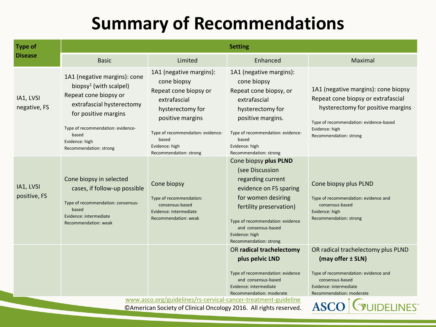| <b>Type of</b>            | <b>Setting</b>                                                                                                                                                                                                                             |                                                                                                                                                                                                                   |                                                                                                                                                                                                                                                 |                                                                                                                                                                                                      |  |
|---------------------------|--------------------------------------------------------------------------------------------------------------------------------------------------------------------------------------------------------------------------------------------|-------------------------------------------------------------------------------------------------------------------------------------------------------------------------------------------------------------------|-------------------------------------------------------------------------------------------------------------------------------------------------------------------------------------------------------------------------------------------------|------------------------------------------------------------------------------------------------------------------------------------------------------------------------------------------------------|--|
| <b>Disease</b>            | <b>Basic</b>                                                                                                                                                                                                                               | Limited                                                                                                                                                                                                           | Enhanced                                                                                                                                                                                                                                        | Maximal                                                                                                                                                                                              |  |
| IA1, LVSI<br>negative, FS | 1A1 (negative margins): cone<br>biopsy <sup>1</sup> (with scalpel)<br>Repeat cone biopsy or<br>extrafascial hysterectomy<br>for positive margins<br>Type of recommendation: evidence-<br>based<br>Evidence: high<br>Recommendation: strong | 1A1 (negative margins):<br>cone biopsy<br>Repeat cone biopsy or<br>extrafascial<br>hysterectomy for<br>positive margins<br>Type of recommendation: evidence-<br>based<br>Evidence: high<br>Recommendation: strong | 1A1 (negative margins):<br>cone biopsy<br>Repeat cone biopsy, or<br>extrafascial<br>hysterectomy for<br>positive margins.<br>Type of recommendation: evidence-<br>based<br>Evidence: high<br>Recommendation: strong                             | 1A1 (negative margins): cone biopsy<br>Repeat cone biopsy or extrafascial<br>hysterectomy for positive margins<br>Type of recommendation: evidence-based<br>Evidence: high<br>Recommendation: strong |  |
| IA1, LVSI<br>positive, FS | Cone biopsy in selected<br>cases, if follow-up possible<br>Type of recommendation: consensus-<br>based<br>Evidence: intermediate<br>Recommendation: weak                                                                                   | Cone biopsy<br>Type of recommendation:<br>consensus-based<br>Evidence: intermediate<br>Recommendation: weak                                                                                                       | Cone biopsy plus PLND<br>(see Discussion<br>regarding current<br>evidence on FS sparing<br>for women desiring<br>fertility preservation)<br>Type of recommendation: evidence<br>and consensus-based<br>Evidence: high<br>Recommendation: strong | Cone biopsy plus PLND<br>Type of recommendation: evidence and<br>consensus-based<br>Evidence: high<br>Recommendation: strong                                                                         |  |
|                           |                                                                                                                                                                                                                                            |                                                                                                                                                                                                                   | OR radical trachelectomy<br>plus pelvic LND<br>Type of recommendation: evidence<br>and consensus-based<br>Evidence: intermediate<br>Recommendation: moderate                                                                                    | OR radical trachelectomy plus PLND<br>(may offer ± SLN)<br>Type of recommendation: evidence and<br>consensus-based<br>Evidence: intermediate<br>Recommendation: moderate                             |  |
|                           |                                                                                                                                                                                                                                            | www.asco.org/guidelines/rs-cervical-cancer-treatment-guideline<br>CAmerican Society of Clinical Oncology 2016. All rights reserved.                                                                               |                                                                                                                                                                                                                                                 | <b>JIDELINES®</b>                                                                                                                                                                                    |  |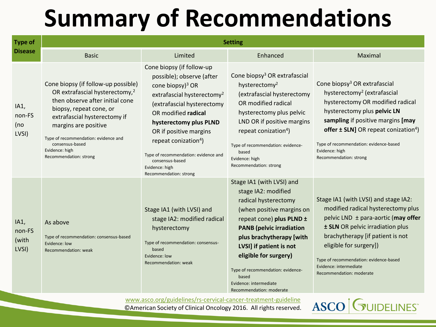| <b>Type of</b>                   | <b>Setting</b>                                                                                                                                                                                                                                                                                                 |                                                                                                                                                                                                                                                                                                                                                                                      |                                                                                                                                                                                                                                                                                                                                                          |                                                                                                                                                                                                                                                                                                                                           |
|----------------------------------|----------------------------------------------------------------------------------------------------------------------------------------------------------------------------------------------------------------------------------------------------------------------------------------------------------------|--------------------------------------------------------------------------------------------------------------------------------------------------------------------------------------------------------------------------------------------------------------------------------------------------------------------------------------------------------------------------------------|----------------------------------------------------------------------------------------------------------------------------------------------------------------------------------------------------------------------------------------------------------------------------------------------------------------------------------------------------------|-------------------------------------------------------------------------------------------------------------------------------------------------------------------------------------------------------------------------------------------------------------------------------------------------------------------------------------------|
| <b>Disease</b>                   | <b>Basic</b>                                                                                                                                                                                                                                                                                                   | Limited                                                                                                                                                                                                                                                                                                                                                                              | Enhanced                                                                                                                                                                                                                                                                                                                                                 | Maximal                                                                                                                                                                                                                                                                                                                                   |
| IA1,<br>non-FS<br>(no<br>LVSI)   | Cone biopsy (if follow-up possible)<br>OR extrafascial hysterectomy, <sup>2</sup><br>then observe after initial cone<br>biopsy, repeat cone, or<br>extrafascial hysterectomy if<br>margins are positive<br>Type of recommendation: evidence and<br>consensus-based<br>Evidence: high<br>Recommendation: strong | Cone biopsy (if follow-up<br>possible); observe (after<br>cone biopsy) <sup>3</sup> OR<br>extrafascial hysterectomy <sup>2</sup><br>(extrafascial hysterectomy<br>OR modified radical<br>hysterectomy plus PLND<br>OR if positive margins<br>repeat conization <sup>4</sup> )<br>Type of recommendation: evidence and<br>consensus-based<br>Evidence: high<br>Recommendation: strong | Cone biopsy <sup>3</sup> OR extrafascial<br>hysterectomy <sup>2</sup><br>(extrafascial hysterectomy<br>OR modified radical<br>hysterectomy plus pelvic<br>LND OR if positive margins<br>repeat conization <sup>4</sup> )<br>Type of recommendation: evidence-<br>based<br>Evidence: high<br>Recommendation: strong                                       | Cone biopsy <sup>3</sup> OR extrafascial<br>hysterectomy <sup>2</sup> (extrafascial<br>hysterectomy OR modified radical<br>hysterectomy plus pelvic LN<br>sampling if positive margins [may<br>offer $\pm$ SLN] OR repeat conization <sup>4</sup> )<br>Type of recommendation: evidence-based<br>Evidence: high<br>Recommendation: strong |
| IA1,<br>non-FS<br>(with<br>LVSI) | As above<br>Type of recommendation: consensus-based<br>Evidence: low<br>Recommendation: weak                                                                                                                                                                                                                   | Stage IA1 (with LVSI) and<br>stage IA2: modified radical<br>hysterectomy<br>Type of recommendation: consensus-<br>based<br>Evidence: low<br>Recommendation: weak                                                                                                                                                                                                                     | Stage IA1 (with LVSI) and<br>stage IA2: modified<br>radical hysterectomy<br>(when positive margins on<br>repeat cone) plus PLND ±<br><b>PANB</b> (pelvic irradiation<br>plus brachytherapy [with<br>LVSI] if patient is not<br>eligible for surgery)<br>Type of recommendation: evidence-<br>based<br>Evidence: intermediate<br>Recommendation: moderate | Stage IA1 (with LVSI) and stage IA2:<br>modified radical hysterectomy plus<br>pelvic LND $\pm$ para-aortic (may offer<br>± SLN OR pelvic irradiation plus<br>brachytherapy [if patient is not<br>eligible for surgery])<br>Type of recommendation: evidence-based<br>Evidence: intermediate<br>Recommendation: moderate                   |

[www.asco.org/guidelines/rs-cervical-cancer-treatment-guideline](http://www.asco.org/guidelines/rs-cervical-cancer-treatment-guideline) ©American Society of Clinical Oncology 2016. All rights reserved.

**ASCO** GUIDELINES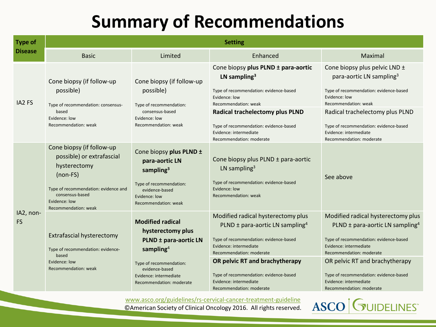| <b>Type of</b>         | <b>Setting</b>                                                                                                                                                                           |                                                                                                                                                                                                   |                                                                                                                                                                                                                                                                                                                         |                                                                                                                                                                                                                                                                                                                         |
|------------------------|------------------------------------------------------------------------------------------------------------------------------------------------------------------------------------------|---------------------------------------------------------------------------------------------------------------------------------------------------------------------------------------------------|-------------------------------------------------------------------------------------------------------------------------------------------------------------------------------------------------------------------------------------------------------------------------------------------------------------------------|-------------------------------------------------------------------------------------------------------------------------------------------------------------------------------------------------------------------------------------------------------------------------------------------------------------------------|
| <b>Disease</b>         | <b>Basic</b>                                                                                                                                                                             | Limited                                                                                                                                                                                           | Enhanced                                                                                                                                                                                                                                                                                                                | Maximal                                                                                                                                                                                                                                                                                                                 |
| IA <sub>2</sub> FS     | Cone biopsy (if follow-up<br>possible)<br>Type of recommendation: consensus-<br>based                                                                                                    | Cone biopsy (if follow-up<br>possible)<br>Type of recommendation:<br>consensus-based                                                                                                              | Cone biopsy plus PLND ± para-aortic<br>LN sampling <sup>3</sup><br>Type of recommendation: evidence-based<br>Evidence: low<br>Recommendation: weak                                                                                                                                                                      | Cone biopsy plus pelvic LND ±<br>para-aortic LN sampling <sup>3</sup><br>Type of recommendation: evidence-based<br>Evidence: low<br>Recommendation: weak                                                                                                                                                                |
|                        | Evidence: low<br>Recommendation: weak                                                                                                                                                    | Evidence: low<br>Recommendation: weak                                                                                                                                                             | <b>Radical trachelectomy plus PLND</b><br>Type of recommendation: evidence-based<br>Evidence: intermediate<br>Recommendation: moderate                                                                                                                                                                                  | Radical trachelectomy plus PLND<br>Type of recommendation: evidence-based<br>Evidence: intermediate<br>Recommendation: moderate                                                                                                                                                                                         |
|                        | Cone biopsy (if follow-up<br>possible) or extrafascial<br>hysterectomy<br>$(non-FS)$<br>Type of recommendation: evidence and<br>consensus-based<br>Evidence: low<br>Recommendation: weak | Cone biopsy plus PLND ±<br>para-aortic LN<br>sampling <sup>3</sup><br>Type of recommendation:<br>evidence-based<br>Evidence: low<br>Recommendation: weak                                          | Cone biopsy plus PLND ± para-aortic<br>LN sampling <sup>3</sup><br>Type of recommendation: evidence-based<br>Evidence: low<br>Recommendation: weak                                                                                                                                                                      | See above                                                                                                                                                                                                                                                                                                               |
| IA2, non-<br><b>FS</b> | Extrafascial hysterectomy<br>Type of recommendation: evidence-<br>based<br>Evidence: low<br>Recommendation: weak                                                                         | <b>Modified radical</b><br>hysterectomy plus<br>PLND ± para-aortic LN<br>sampling <sup>4</sup><br>Type of recommendation:<br>evidence-based<br>Evidence: intermediate<br>Recommendation: moderate | Modified radical hysterectomy plus<br>PLND $\pm$ para-aortic LN sampling <sup>4</sup><br>Type of recommendation: evidence-based<br>Evidence: intermediate<br>Recommendation: moderate<br>OR pelvic RT and brachytherapy<br>Type of recommendation: evidence-based<br>Evidence: intermediate<br>Recommendation: moderate | Modified radical hysterectomy plus<br>PLND $\pm$ para-aortic LN sampling <sup>4</sup><br>Type of recommendation: evidence-based<br>Evidence: intermediate<br>Recommendation: moderate<br>OR pelvic RT and brachytherapy<br>Type of recommendation: evidence-based<br>Evidence: intermediate<br>Recommendation: moderate |

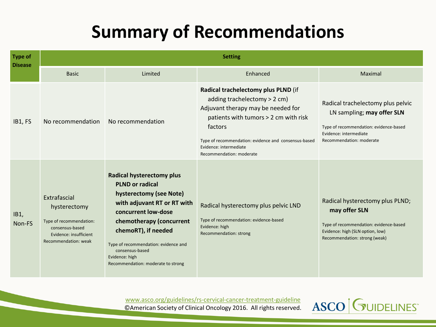| <b>Type of</b><br><b>Disease</b> | <b>Setting</b>                                                                                                               |                                                                                                                                                                                                                                                                                                                   |                                                                                                                                                                                                                                                                             |                                                                                                                                                                 |
|----------------------------------|------------------------------------------------------------------------------------------------------------------------------|-------------------------------------------------------------------------------------------------------------------------------------------------------------------------------------------------------------------------------------------------------------------------------------------------------------------|-----------------------------------------------------------------------------------------------------------------------------------------------------------------------------------------------------------------------------------------------------------------------------|-----------------------------------------------------------------------------------------------------------------------------------------------------------------|
|                                  | <b>Basic</b>                                                                                                                 | Limited                                                                                                                                                                                                                                                                                                           | Enhanced                                                                                                                                                                                                                                                                    | Maximal                                                                                                                                                         |
| IB1, FS                          | No recommendation                                                                                                            | No recommendation                                                                                                                                                                                                                                                                                                 | Radical trachelectomy plus PLND (if<br>adding trachelectomy > 2 cm)<br>Adjuvant therapy may be needed for<br>patients with tumors > 2 cm with risk<br>factors<br>Type of recommendation: evidence and consensus-based<br>Evidence: intermediate<br>Recommendation: moderate | Radical trachelectomy plus pelvic<br>LN sampling; may offer SLN<br>Type of recommendation: evidence-based<br>Evidence: intermediate<br>Recommendation: moderate |
| IB1,<br>Non-FS                   | Extrafascial<br>hysterectomy<br>Type of recommendation:<br>consensus-based<br>Evidence: insufficient<br>Recommendation: weak | <b>Radical hysterectomy plus</b><br><b>PLND or radical</b><br>hysterectomy (see Note)<br>with adjuvant RT or RT with<br>concurrent low-dose<br>chemotherapy (concurrent<br>chemoRT), if needed<br>Type of recommendation: evidence and<br>consensus-based<br>Evidence: high<br>Recommendation: moderate to strong | Radical hysterectomy plus pelvic LND<br>Type of recommendation: evidence-based<br>Evidence: high<br>Recommendation: strong                                                                                                                                                  | Radical hysterectomy plus PLND;<br>may offer SLN<br>Type of recommendation: evidence-based<br>Evidence: high (SLN option, low)<br>Recommendation: strong (weak) |

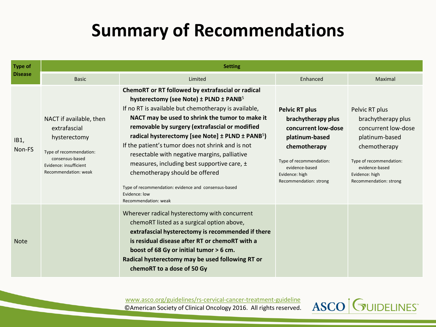| <b>Type of</b> | <b>Setting</b>                                                                                                                                          |                                                                                                                                                                                                                                                                                                                                                                                                                                                                                                                                                                                                                             |                                                                                                                                                                                               |                                                                                                                                                                                        |  |  |
|----------------|---------------------------------------------------------------------------------------------------------------------------------------------------------|-----------------------------------------------------------------------------------------------------------------------------------------------------------------------------------------------------------------------------------------------------------------------------------------------------------------------------------------------------------------------------------------------------------------------------------------------------------------------------------------------------------------------------------------------------------------------------------------------------------------------------|-----------------------------------------------------------------------------------------------------------------------------------------------------------------------------------------------|----------------------------------------------------------------------------------------------------------------------------------------------------------------------------------------|--|--|
| <b>Disease</b> | <b>Basic</b>                                                                                                                                            | Limited                                                                                                                                                                                                                                                                                                                                                                                                                                                                                                                                                                                                                     | Enhanced                                                                                                                                                                                      | Maximal                                                                                                                                                                                |  |  |
| IB1,<br>Non-FS | NACT if available, then<br>extrafascial<br>hysterectomy<br>Type of recommendation:<br>consensus-based<br>Evidence: insufficient<br>Recommendation: weak | ChemoRT or RT followed by extrafascial or radical<br>hysterectomy (see Note) ± PLND ± PANB <sup>5</sup><br>If no RT is available but chemotherapy is available,<br>NACT may be used to shrink the tumor to make it<br>removable by surgery (extrafascial or modified<br>radical hysterectomy [see Note] ± PLND ± PANB <sup>5</sup> )<br>If the patient's tumor does not shrink and is not<br>resectable with negative margins, palliative<br>measures, including best supportive care, ±<br>chemotherapy should be offered<br>Type of recommendation: evidence and consensus-based<br>Evidence: low<br>Recommendation: weak | <b>Pelvic RT plus</b><br>brachytherapy plus<br>concurrent low-dose<br>platinum-based<br>chemotherapy<br>Type of recommendation:<br>evidence-based<br>Evidence: high<br>Recommendation: strong | Pelvic RT plus<br>brachytherapy plus<br>concurrent low-dose<br>platinum-based<br>chemotherapy<br>Type of recommendation:<br>evidence-based<br>Evidence: high<br>Recommendation: strong |  |  |
| <b>Note</b>    |                                                                                                                                                         | Wherever radical hysterectomy with concurrent<br>chemoRT listed as a surgical option above,<br>extrafascial hysterectomy is recommended if there<br>is residual disease after RT or chemoRT with a<br>boost of 68 Gy or initial tumor > 6 cm.<br>Radical hysterectomy may be used following RT or<br>chemoRT to a dose of 50 Gy                                                                                                                                                                                                                                                                                             |                                                                                                                                                                                               |                                                                                                                                                                                        |  |  |

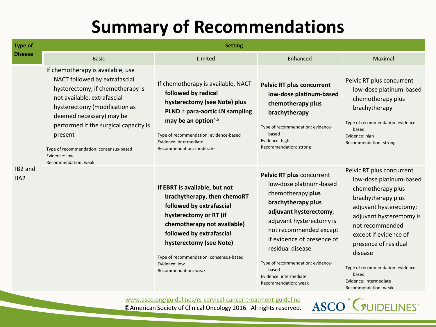| <b>Type of</b>  | <b>Setting</b>                                                                                                                                                                                                                                                                                                                             |                                                                                                                                                                                                                                                                                              |                                                                                                                                                                                                                                                                                                                                   |                                                                                                                                                                                                                                                                                                                                      |  |
|-----------------|--------------------------------------------------------------------------------------------------------------------------------------------------------------------------------------------------------------------------------------------------------------------------------------------------------------------------------------------|----------------------------------------------------------------------------------------------------------------------------------------------------------------------------------------------------------------------------------------------------------------------------------------------|-----------------------------------------------------------------------------------------------------------------------------------------------------------------------------------------------------------------------------------------------------------------------------------------------------------------------------------|--------------------------------------------------------------------------------------------------------------------------------------------------------------------------------------------------------------------------------------------------------------------------------------------------------------------------------------|--|
| <b>Disease</b>  | <b>Basic</b>                                                                                                                                                                                                                                                                                                                               | Limited                                                                                                                                                                                                                                                                                      | Enhanced                                                                                                                                                                                                                                                                                                                          | Maximal                                                                                                                                                                                                                                                                                                                              |  |
|                 | If chemotherapy is available, use<br>NACT followed by extrafascial<br>hysterectomy; if chemotherapy is<br>not available, extrafascial<br>hysterectomy (modification as<br>deemed necessary) may be<br>performed if the surgical capacity is<br>present<br>Type of recommendation: consensus-based<br>Evidence: low<br>Recommendation: weak | If chemotherapy is available, NACT<br>followed by radical<br>hysterectomy (see Note) plus<br>PLND ± para-aortic LN sampling<br>may be an option <sup>4,6</sup><br>Type of recommendation: evidence-based<br>Evidence: intermediate<br>Recommendation: moderate                               | <b>Pelvic RT plus concurrent</b><br>low-dose platinum-based<br>chemotherapy plus<br>brachytherapy<br>Type of recommendation: evidence-<br>based<br>Evidence: high<br>Recommendation: strong                                                                                                                                       | Pelvic RT plus concurrent<br>low-dose platinum-based<br>chemotherapy plus<br>brachytherapy<br>Type of recommendation: evidence-<br>based<br>Evidence: high<br>Recommendation: strong                                                                                                                                                 |  |
| IB2 and<br>IIA2 |                                                                                                                                                                                                                                                                                                                                            | If EBRT is available, but not<br>brachytherapy, then chemoRT<br>followed by extrafascial<br>hysterectomy or RT (if<br>chemotherapy not available)<br>followed by extrafascial<br>hysterectomy (see Note)<br>Type of recommendation: consensus-based<br>Evidence: low<br>Recommendation: weak | Pelvic RT plus concurrent<br>low-dose platinum-based<br>chemotherapy plus<br>brachytherapy plus<br>adjuvant hysterectomy;<br>adjuvant hysterectomy is<br>not recommended except<br>if evidence of presence of<br>residual disease<br>Type of recommendation: evidence-<br>based<br>Evidence: intermediate<br>Recommendation: weak | Pelvic RT plus concurrent<br>low-dose platinum-based<br>chemotherapy plus<br>brachytherapy plus<br>adjuvant hysterectomy;<br>adjuvant hysterectomy is<br>not recommended<br>except if evidence of<br>presence of residual<br>disease<br>Type of recommendation: evidence-<br>based<br>Evidence: intermediate<br>Recommendation: weak |  |

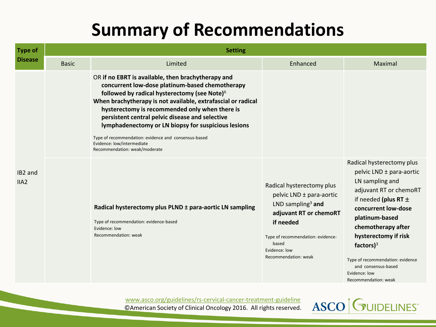| <b>Type of</b>                          | <b>Setting</b> |                                                                                                                                                                                                                                                                                                                                                                                                                                                                                                                      |                                                                                                                                                                                                                      |                                                                                                                                                                                                                                                                                                                    |  |
|-----------------------------------------|----------------|----------------------------------------------------------------------------------------------------------------------------------------------------------------------------------------------------------------------------------------------------------------------------------------------------------------------------------------------------------------------------------------------------------------------------------------------------------------------------------------------------------------------|----------------------------------------------------------------------------------------------------------------------------------------------------------------------------------------------------------------------|--------------------------------------------------------------------------------------------------------------------------------------------------------------------------------------------------------------------------------------------------------------------------------------------------------------------|--|
| <b>Disease</b>                          | <b>Basic</b>   | Limited                                                                                                                                                                                                                                                                                                                                                                                                                                                                                                              | Enhanced                                                                                                                                                                                                             | Maximal                                                                                                                                                                                                                                                                                                            |  |
|                                         |                | OR if no EBRT is available, then brachytherapy and<br>concurrent low-dose platinum-based chemotherapy<br>followed by radical hysterectomy (see Note) <sup>6</sup><br>When brachytherapy is not available, extrafascial or radical<br>hysterectomy is recommended only when there is<br>persistent central pelvic disease and selective<br>lymphadenectomy or LN biopsy for suspicious lesions<br>Type of recommendation: evidence and consensus-based<br>Evidence: low/intermediate<br>Recommendation: weak/moderate |                                                                                                                                                                                                                      |                                                                                                                                                                                                                                                                                                                    |  |
| IB <sub>2</sub> and<br>IIA <sub>2</sub> |                | Radical hysterectomy plus PLND ± para-aortic LN sampling<br>Type of recommendation: evidence-based<br>Evidence: low<br>Recommendation: weak                                                                                                                                                                                                                                                                                                                                                                          | Radical hysterectomy plus<br>pelvic LND ± para-aortic<br>LND sampling <sup>3</sup> and<br>adjuvant RT or chemoRT<br>if needed<br>Type of recommendation: evidence-<br>based<br>Evidence: low<br>Recommendation: weak | Radical hysterectomy plus<br>pelvic LND ± para-aortic<br>LN sampling and<br>adjuvant RT or chemoRT<br>if needed (plus RT $\pm$<br>concurrent low-dose<br>platinum-based<br>chemotherapy after<br>hysterectomy if risk<br>factors $)^3$<br>Type of recommendation: evidence<br>and consensus-based<br>Evidence: low |  |

[www.asco.org/guidelines/rs-cervical-cancer-treatment-guideline](http://www.asco.org/guidelines/rs-cervical-cancer-treatment-guideline) ©American Society of Clinical Oncology 2016. All rights reserved.



Recommendation: weak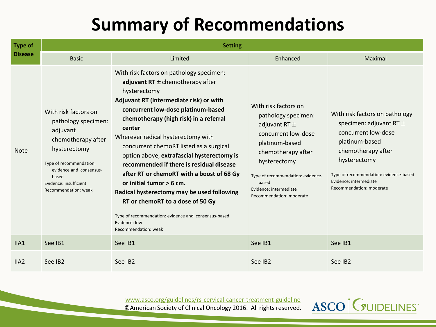| <b>Type of</b>   | <b>Setting</b>                                                                                                                                                                                                 |                                                                                                                                                                                                                                                                                                                                                                                                                                                                                                                                                                                                                                                                                |                                                                                                                                                                                                                                                     |                                                                                                                                                                                                                                              |  |
|------------------|----------------------------------------------------------------------------------------------------------------------------------------------------------------------------------------------------------------|--------------------------------------------------------------------------------------------------------------------------------------------------------------------------------------------------------------------------------------------------------------------------------------------------------------------------------------------------------------------------------------------------------------------------------------------------------------------------------------------------------------------------------------------------------------------------------------------------------------------------------------------------------------------------------|-----------------------------------------------------------------------------------------------------------------------------------------------------------------------------------------------------------------------------------------------------|----------------------------------------------------------------------------------------------------------------------------------------------------------------------------------------------------------------------------------------------|--|
| <b>Disease</b>   | <b>Basic</b>                                                                                                                                                                                                   | Limited                                                                                                                                                                                                                                                                                                                                                                                                                                                                                                                                                                                                                                                                        | Enhanced                                                                                                                                                                                                                                            | Maximal                                                                                                                                                                                                                                      |  |
| <b>Note</b>      | With risk factors on<br>pathology specimen:<br>adjuvant<br>chemotherapy after<br>hysterectomy<br>Type of recommendation:<br>evidence and consensus-<br>based<br>Evidence: insufficient<br>Recommendation: weak | With risk factors on pathology specimen:<br>adjuvant $RT \pm$ chemotherapy after<br>hysterectomy<br>Adjuvant RT (intermediate risk) or with<br>concurrent low-dose platinum-based<br>chemotherapy (high risk) in a referral<br>center<br>Wherever radical hysterectomy with<br>concurrent chemoRT listed as a surgical<br>option above, extrafascial hysterectomy is<br>recommended if there is residual disease<br>after RT or chemoRT with a boost of 68 Gy<br>or initial tumor $> 6$ cm.<br>Radical hysterectomy may be used following<br>RT or chemoRT to a dose of 50 Gy<br>Type of recommendation: evidence and consensus-based<br>Evidence: low<br>Recommendation: weak | With risk factors on<br>pathology specimen:<br>adjuvant RT $\pm$<br>concurrent low-dose<br>platinum-based<br>chemotherapy after<br>hysterectomy<br>Type of recommendation: evidence-<br>based<br>Evidence: intermediate<br>Recommendation: moderate | With risk factors on pathology<br>specimen: adjuvant RT $\pm$<br>concurrent low-dose<br>platinum-based<br>chemotherapy after<br>hysterectomy<br>Type of recommendation: evidence-based<br>Evidence: intermediate<br>Recommendation: moderate |  |
| IIA1             | See IB1                                                                                                                                                                                                        | See IB1                                                                                                                                                                                                                                                                                                                                                                                                                                                                                                                                                                                                                                                                        | See IB1                                                                                                                                                                                                                                             | See IB1                                                                                                                                                                                                                                      |  |
| IIA <sub>2</sub> | See IB <sub>2</sub>                                                                                                                                                                                            | See IB2                                                                                                                                                                                                                                                                                                                                                                                                                                                                                                                                                                                                                                                                        | See IB2                                                                                                                                                                                                                                             | See IB2                                                                                                                                                                                                                                      |  |

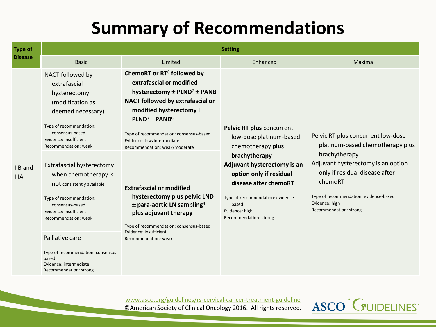| <b>Type of</b>         | <b>Setting</b>                                                                                                                                                                                                                                                                                                                                                                                                                                                                                     |                                                                                                                                                                                                                                                                                                                                                                                                                                                                                                                                                                                         |                                                                                                                                                                                                                                                                         |                                                                                                                                                                                                                                                                  |  |
|------------------------|----------------------------------------------------------------------------------------------------------------------------------------------------------------------------------------------------------------------------------------------------------------------------------------------------------------------------------------------------------------------------------------------------------------------------------------------------------------------------------------------------|-----------------------------------------------------------------------------------------------------------------------------------------------------------------------------------------------------------------------------------------------------------------------------------------------------------------------------------------------------------------------------------------------------------------------------------------------------------------------------------------------------------------------------------------------------------------------------------------|-------------------------------------------------------------------------------------------------------------------------------------------------------------------------------------------------------------------------------------------------------------------------|------------------------------------------------------------------------------------------------------------------------------------------------------------------------------------------------------------------------------------------------------------------|--|
| <b>Disease</b>         | <b>Basic</b>                                                                                                                                                                                                                                                                                                                                                                                                                                                                                       | Limited                                                                                                                                                                                                                                                                                                                                                                                                                                                                                                                                                                                 | Enhanced                                                                                                                                                                                                                                                                | Maximal                                                                                                                                                                                                                                                          |  |
| IIB and<br><b>IIIA</b> | NACT followed by<br>extrafascial<br>hysterectomy<br>(modification as<br>deemed necessary)<br>Type of recommendation:<br>consensus-based<br>Evidence: insufficient<br>Recommendation: weak<br>Extrafascial hysterectomy<br>when chemotherapy is<br>not consistently available<br>Type of recommendation:<br>consensus-based<br>Evidence: insufficient<br>Recommendation: weak<br>Palliative care<br>Type of recommendation: consensus-<br>based<br>Evidence: intermediate<br>Recommendation: strong | ChemoRT or RT <sup>6</sup> followed by<br>extrafascial or modified<br>hysterectomy $\pm$ PLND <sup>7</sup> $\pm$ PANB<br>NACT followed by extrafascial or<br>modified hysterectomy $\pm$<br><b>PLND<sup>7</sup> ± PANB<sup>6</sup></b><br>Type of recommendation: consensus-based<br>Evidence: low/intermediate<br>Recommendation: weak/moderate<br><b>Extrafascial or modified</b><br>hysterectomy plus pelvic LND<br>$\pm$ para-aortic LN sampling <sup>4</sup><br>plus adjuvant therapy<br>Type of recommendation: consensus-based<br>Evidence: insufficient<br>Recommendation: weak | Pelvic RT plus concurrent<br>low-dose platinum-based<br>chemotherapy plus<br>brachytherapy<br>Adjuvant hysterectomy is an<br>option only if residual<br>disease after chemoRT<br>Type of recommendation: evidence-<br>based<br>Evidence: high<br>Recommendation: strong | Pelvic RT plus concurrent low-dose<br>platinum-based chemotherapy plus<br>brachytherapy<br>Adjuvant hysterectomy is an option<br>only if residual disease after<br>chemoRT<br>Type of recommendation: evidence-based<br>Evidence: high<br>Recommendation: strong |  |

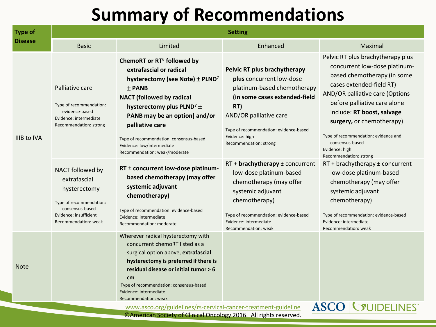| <b>Type of</b> | <b>Setting</b>                                                                                                                                   |                                                                                                                                                                                                                                                                                                                                                                                 |                                                                                                                                                                                                                                                 |                                                                                                                                                                                                                                                                                                                                                                    |
|----------------|--------------------------------------------------------------------------------------------------------------------------------------------------|---------------------------------------------------------------------------------------------------------------------------------------------------------------------------------------------------------------------------------------------------------------------------------------------------------------------------------------------------------------------------------|-------------------------------------------------------------------------------------------------------------------------------------------------------------------------------------------------------------------------------------------------|--------------------------------------------------------------------------------------------------------------------------------------------------------------------------------------------------------------------------------------------------------------------------------------------------------------------------------------------------------------------|
| <b>Disease</b> | <b>Basic</b>                                                                                                                                     | Limited                                                                                                                                                                                                                                                                                                                                                                         | Enhanced                                                                                                                                                                                                                                        | Maximal                                                                                                                                                                                                                                                                                                                                                            |
| IIIB to IVA    | Palliative care<br>Type of recommendation:<br>evidence-based<br>Evidence: intermediate<br>Recommendation: strong                                 | ChemoRT or RT <sup>6</sup> followed by<br>extrafascial or radical<br>hysterectomy (see Note) $\pm$ PLND <sup>7</sup><br>$±$ PANB<br><b>NACT</b> (followed by radical<br>hysterectomy plus PLND <sup>7</sup> $\pm$<br>PANB may be an option] and/or<br>palliative care<br>Type of recommendation: consensus-based<br>Evidence: low/intermediate<br>Recommendation: weak/moderate | Pelvic RT plus brachytherapy<br>plus concurrent low-dose<br>platinum-based chemotherapy<br>(in some cases extended-field<br>RT)<br>AND/OR palliative care<br>Type of recommendation: evidence-based<br>Evidence: high<br>Recommendation: strong | Pelvic RT plus brachytherapy plus<br>concurrent low-dose platinum-<br>based chemotherapy (in some<br>cases extended-field RT)<br>AND/OR palliative care (Options<br>before palliative care alone<br>include: RT boost, salvage<br>surgery, or chemotherapy)<br>Type of recommendation: evidence and<br>consensus-based<br>Evidence: high<br>Recommendation: strong |
|                | NACT followed by<br>extrafascial<br>hysterectomy<br>Type of recommendation:<br>consensus-based<br>Evidence: insufficient<br>Recommendation: weak | RT ± concurrent low-dose platinum-<br>based chemotherapy (may offer<br>systemic adjuvant<br>chemotherapy)<br>Type of recommendation: evidence-based<br>Evidence: intermediate<br>Recommendation: moderate                                                                                                                                                                       | RT + brachytherapy ± concurrent<br>low-dose platinum-based<br>chemotherapy (may offer<br>systemic adjuvant<br>chemotherapy)<br>Type of recommendation: evidence-based<br>Evidence: intermediate<br>Recommendation: weak                         | $RT + brachy$ therapy ± concurrent<br>low-dose platinum-based<br>chemotherapy (may offer<br>systemic adjuvant<br>chemotherapy)<br>Type of recommendation: evidence-based<br>Evidence: intermediate<br>Recommendation: weak                                                                                                                                         |
| <b>Note</b>    |                                                                                                                                                  | Wherever radical hysterectomy with<br>concurrent chemoRT listed as a<br>surgical option above, extrafascial<br>hysterectomy is preferred if there is<br>residual disease or initial tumor > 6<br>cm<br>Type of recommendation: consensus-based<br>Evidence: intermediate<br>Recommendation: weak<br>www.asco.org/guidelines/rs-cervical-cancer-treatment-guideline              |                                                                                                                                                                                                                                                 | <b>ASCO   GUIDELINES</b>                                                                                                                                                                                                                                                                                                                                           |

©American Society of Clinical Oncology 2016. All rights reserved.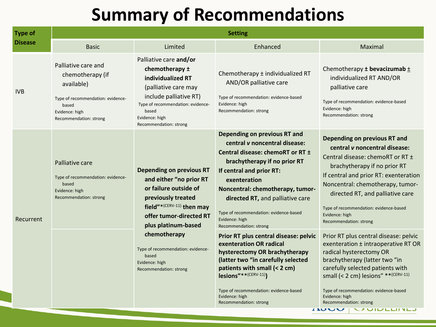| <b>Type of</b><br><b>Disease</b>                                                                                                                  | <b>Setting</b>                                                                                                                                                                                                       |                                                                                                                                                                                                                                                                                                                                                                                             |                                                                                                                                                                                                                                                                                                                                                                                   |                                                                                                                                                                                                                                                                   |  |
|---------------------------------------------------------------------------------------------------------------------------------------------------|----------------------------------------------------------------------------------------------------------------------------------------------------------------------------------------------------------------------|---------------------------------------------------------------------------------------------------------------------------------------------------------------------------------------------------------------------------------------------------------------------------------------------------------------------------------------------------------------------------------------------|-----------------------------------------------------------------------------------------------------------------------------------------------------------------------------------------------------------------------------------------------------------------------------------------------------------------------------------------------------------------------------------|-------------------------------------------------------------------------------------------------------------------------------------------------------------------------------------------------------------------------------------------------------------------|--|
|                                                                                                                                                   | <b>Basic</b>                                                                                                                                                                                                         | Limited                                                                                                                                                                                                                                                                                                                                                                                     | Enhanced                                                                                                                                                                                                                                                                                                                                                                          | Maximal                                                                                                                                                                                                                                                           |  |
| <b>IVB</b>                                                                                                                                        | Palliative care and<br>chemotherapy (if<br>available)<br>Type of recommendation: evidence-<br>based<br>Evidence: high<br>Recommendation: strong                                                                      | Palliative care and/or<br>chemotherapy ±<br>individualized RT<br>(palliative care may<br>include palliative RT)<br>Type of recommendation: evidence-<br>based<br>Evidence: high<br>Recommendation: strong                                                                                                                                                                                   | Chemotherapy ± individualized RT<br>AND/OR palliative care<br>Type of recommendation: evidence-based<br>Evidence: high<br>Recommendation: strong                                                                                                                                                                                                                                  | Chemotherapy $\pm$ bevacizumab $\pm$<br>individualized RT AND/OR<br>palliative care<br>Type of recommendation: evidence-based<br>Evidence: high<br>Recommendation: strong                                                                                         |  |
| Palliative care<br>Type of recommendation: evidence-<br>based<br>Evidence: high<br>Recommendation: strong<br>Recurrent<br>based<br>Evidence: high | <b>Depending on previous RT</b><br>and either "no prior RT<br>or failure outside of<br>previously treated<br>field"* <sup>(CERV-11)</sup> then may<br>offer tumor-directed RT<br>plus platinum-based<br>chemotherapy | Depending on previous RT and<br>central <i>v</i> noncentral disease:<br>Central disease: chemoRT or RT ±<br>brachytherapy if no prior RT<br>If central and prior RT:<br>exenteration<br>Noncentral: chemotherapy, tumor-<br>directed RT, and palliative care<br>Type of recommendation: evidence-based<br>Evidence: high<br>Recommendation: strong<br>Prior RT plus central disease: pelvic | Depending on previous RT and<br>central v noncentral disease:<br>Central disease: chemoRT or RT ±<br>brachytherapy if no prior RT<br>If central and prior RT: exenteration<br>Noncentral: chemotherapy, tumor-<br>directed RT, and palliative care<br>Type of recommendation: evidence-based<br>Evidence: high<br>Recommendation: strong<br>Prior RT plus central disease: pelvic |                                                                                                                                                                                                                                                                   |  |
|                                                                                                                                                   |                                                                                                                                                                                                                      | Type of recommendation: evidence-<br>Recommendation: strong                                                                                                                                                                                                                                                                                                                                 | exenteration OR radical<br>hysterectomy OR brachytherapy<br>(latter two "in carefully selected<br>patients with small (< 2 cm)<br>lesions" ** (CERV-11))<br>Type of recommendation: evidence-based<br>Evidence: high<br>Recommendation: strong                                                                                                                                    | exenteration ± intraoperative RT OR<br>radical hysterectomy OR<br>brachytherapy (latter two "in<br>carefully selected patients with<br>small (< 2 cm) lesions" ** (CERV-11)<br>Type of recommendation: evidence-based<br>Evidence: high<br>Recommendation: strong |  |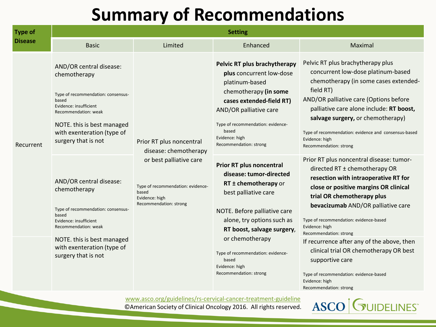| <b>Type of</b><br><b>Disease</b> | <b>Setting</b>                                                                                                                                                                                                              |                                                                                                                                                                        |                                                                                                                                                                                                                                                                                                                     |                                                                                                                                                                                                                                                                                                                                                                                                                                                                                                                       |
|----------------------------------|-----------------------------------------------------------------------------------------------------------------------------------------------------------------------------------------------------------------------------|------------------------------------------------------------------------------------------------------------------------------------------------------------------------|---------------------------------------------------------------------------------------------------------------------------------------------------------------------------------------------------------------------------------------------------------------------------------------------------------------------|-----------------------------------------------------------------------------------------------------------------------------------------------------------------------------------------------------------------------------------------------------------------------------------------------------------------------------------------------------------------------------------------------------------------------------------------------------------------------------------------------------------------------|
|                                  | <b>Basic</b>                                                                                                                                                                                                                | Limited                                                                                                                                                                | Enhanced                                                                                                                                                                                                                                                                                                            | Maximal                                                                                                                                                                                                                                                                                                                                                                                                                                                                                                               |
| Recurrent                        | AND/OR central disease:<br>chemotherapy<br>Type of recommendation: consensus-<br>based<br>Evidence: insufficient<br>Recommendation: weak<br>NOTE. this is best managed<br>with exenteration (type of<br>surgery that is not | Prior RT plus noncentral<br>disease: chemotherapy<br>or best palliative care<br>Type of recommendation: evidence-<br>based<br>Evidence: high<br>Recommendation: strong | Pelvic RT plus brachytherapy<br>plus concurrent low-dose<br>platinum-based<br>chemotherapy (in some<br>cases extended-field RT)<br>AND/OR palliative care<br>Type of recommendation: evidence-<br>based<br>Evidence: high<br>Recommendation: strong                                                                 | Pelvic RT plus brachytherapy plus<br>concurrent low-dose platinum-based<br>chemotherapy (in some cases extended-<br>field RT)<br>AND/OR palliative care (Options before<br>palliative care alone include: RT boost,<br>salvage surgery, or chemotherapy)<br>Type of recommendation: evidence and consensus-based<br>Evidence: high<br>Recommendation: strong                                                                                                                                                          |
|                                  | AND/OR central disease:<br>chemotherapy<br>Type of recommendation: consensus-<br>based<br>Evidence: insufficient<br>Recommendation: weak<br>NOTE. this is best managed<br>with exenteration (type of<br>surgery that is not |                                                                                                                                                                        | <b>Prior RT plus noncentral</b><br>disease: tumor-directed<br>RT ± chemotherapy or<br>best palliative care<br>NOTE. Before palliative care<br>alone, try options such as<br>RT boost, salvage surgery,<br>or chemotherapy<br>Type of recommendation: evidence-<br>based<br>Evidence: high<br>Recommendation: strong | Prior RT plus noncentral disease: tumor-<br>directed RT ± chemotherapy OR<br>resection with intraoperative RT for<br>close or positive margins OR clinical<br>trial OR chemotherapy plus<br>bevacizumab AND/OR palliative care<br>Type of recommendation: evidence-based<br>Evidence: high<br>Recommendation: strong<br>If recurrence after any of the above, then<br>clinical trial OR chemotherapy OR best<br>supportive care<br>Type of recommendation: evidence-based<br>Evidence: high<br>Recommendation: strong |

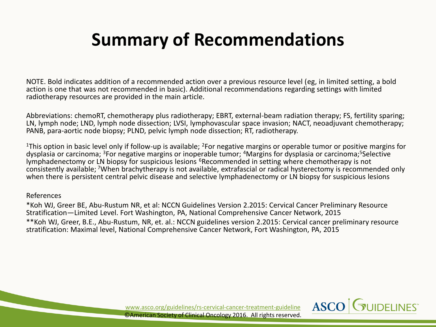NOTE. Bold indicates addition of a recommended action over a previous resource level (eg, in limited setting, a bold action is one that was not recommended in basic). Additional recommendations regarding settings with limited radiotherapy resources are provided in the main article.

Abbreviations: chemoRT, chemotherapy plus radiotherapy; EBRT, external-beam radiation therapy; FS, fertility sparing; LN, lymph node; LND, lymph node dissection; LVSI, lymphovascular space invasion; NACT, neoadjuvant chemotherapy; PANB, para-aortic node biopsy; PLND, pelvic lymph node dissection; RT, radiotherapy.

<sup>1</sup>This option in basic level only if follow-up is available; <sup>2</sup>For negative margins or operable tumor or positive margins for dysplasia or carcinoma; <sup>3</sup>For negative margins or inoperable tumor; <sup>4</sup>Margins for dysplasia or carcinoma;<sup>5</sup>Selective lymphadenectomy or LN biopsy for suspicious lesions <sup>6</sup>Recommended in setting where chemotherapy is not consistently available; <sup>7</sup>When brachytherapy is not available, extrafascial or radical hysterectomy is recommended only when there is persistent central pelvic disease and selective lymphadenectomy or LN biopsy for suspicious lesions

#### References

\*Koh WJ, Greer BE, Abu-Rustum NR, et al: NCCN Guidelines Version 2.2015: Cervical Cancer Preliminary Resource Stratification—Limited Level. Fort Washington, PA, National Comprehensive Cancer Network, 2015 \*\*Koh WJ, Greer, B.E., Abu-Rustum, NR, et. al.: NCCN guidelines version 2.2015: Cervical cancer preliminary resource stratification: Maximal level, National Comprehensive Cancer Network, Fort Washington, PA, 2015

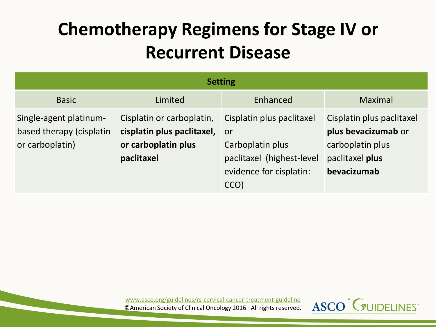### **Chemotherapy Regimens for Stage IV or Recurrent Disease**

| <b>Setting</b>                                                        |                                                                                                 |                                                                                                               |                                                                                                        |
|-----------------------------------------------------------------------|-------------------------------------------------------------------------------------------------|---------------------------------------------------------------------------------------------------------------|--------------------------------------------------------------------------------------------------------|
| <b>Basic</b>                                                          | Limited                                                                                         | Enhanced                                                                                                      | <b>Maximal</b>                                                                                         |
| Single-agent platinum-<br>based therapy (cisplatin<br>or carboplatin) | Cisplatin or carboplatin,<br>cisplatin plus paclitaxel, or<br>or carboplatin plus<br>paclitaxel | Cisplatin plus paclitaxel<br>Carboplatin plus<br>paclitaxel (highest-level<br>evidence for cisplatin:<br>CCO) | Cisplatin plus paclitaxel<br>plus bevacizumab or<br>carboplatin plus<br>paclitaxel plus<br>bevacizumab |

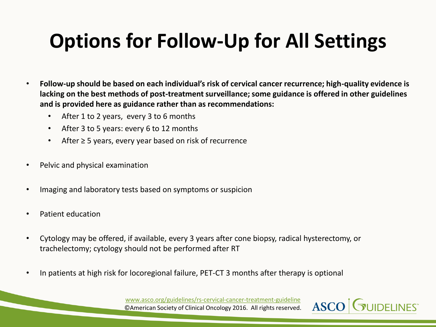### **Options for Follow-Up for All Settings**

- **Follow-up should be based on each individual's risk of cervical cancer recurrence; high-quality evidence is lacking on the best methods of post-treatment surveillance; some guidance is offered in other guidelines and is provided here as guidance rather than as recommendations:**
	- After 1 to 2 years, every 3 to 6 months
	- After 3 to 5 years: every 6 to 12 months
	- After ≥ 5 years, every year based on risk of recurrence
- Pelvic and physical examination
- Imaging and laboratory tests based on symptoms or suspicion
- Patient education
- Cytology may be offered, if available, every 3 years after cone biopsy, radical hysterectomy, or trachelectomy; cytology should not be performed after RT
- In patients at high risk for locoregional failure, PET-CT 3 months after therapy is optional

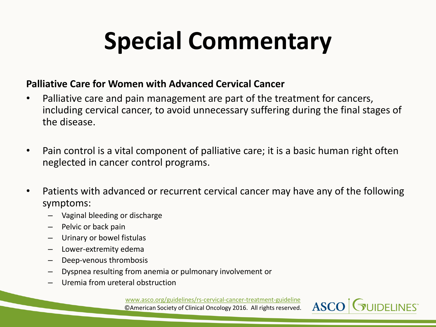# **Special Commentary**

#### **Palliative Care for Women with Advanced Cervical Cancer**

- Palliative care and pain management are part of the treatment for cancers, including cervical cancer, to avoid unnecessary suffering during the final stages of the disease.
- Pain control is a vital component of palliative care; it is a basic human right often neglected in cancer control programs.
- Patients with advanced or recurrent cervical cancer may have any of the following symptoms:
	- Vaginal bleeding or discharge
	- Pelvic or back pain
	- Urinary or bowel fistulas
	- Lower-extremity edema
	- Deep-venous thrombosis
	- Dyspnea resulting from anemia or pulmonary involvement or
	- Uremia from ureteral obstruction

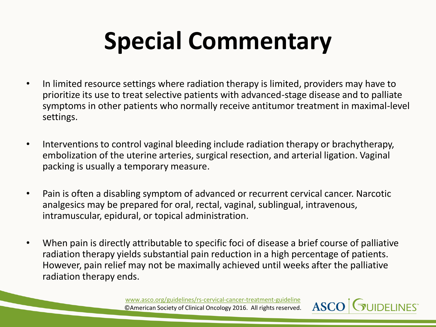# **Special Commentary**

- In limited resource settings where radiation therapy is limited, providers may have to prioritize its use to treat selective patients with advanced-stage disease and to palliate symptoms in other patients who normally receive antitumor treatment in maximal-level settings.
- Interventions to control vaginal bleeding include radiation therapy or brachytherapy, embolization of the uterine arteries, surgical resection, and arterial ligation. Vaginal packing is usually a temporary measure.
- Pain is often a disabling symptom of advanced or recurrent cervical cancer. Narcotic analgesics may be prepared for oral, rectal, vaginal, sublingual, intravenous, intramuscular, epidural, or topical administration.
- When pain is directly attributable to specific foci of disease a brief course of palliative radiation therapy yields substantial pain reduction in a high percentage of patients. However, pain relief may not be maximally achieved until weeks after the palliative radiation therapy ends.

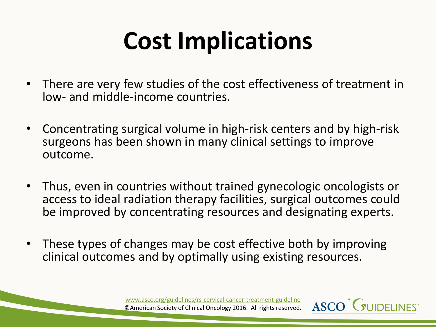### **Cost Implications**

- There are very few studies of the cost effectiveness of treatment in low- and middle-income countries.
- Concentrating surgical volume in high-risk centers and by high-risk surgeons has been shown in many clinical settings to improve outcome.
- Thus, even in countries without trained gynecologic oncologists or access to ideal radiation therapy facilities, surgical outcomes could be improved by concentrating resources and designating experts.
- These types of changes may be cost effective both by improving clinical outcomes and by optimally using existing resources.

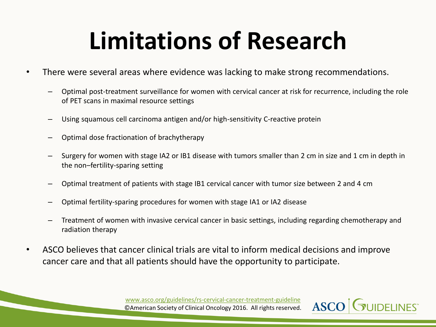### **Limitations of Research**

- There were several areas where evidence was lacking to make strong recommendations.
	- Optimal post-treatment surveillance for women with cervical cancer at risk for recurrence, including the role of PET scans in maximal resource settings
	- Using squamous cell carcinoma antigen and/or high-sensitivity C-reactive protein
	- Optimal dose fractionation of brachytherapy
	- Surgery for women with stage IA2 or IB1 disease with tumors smaller than 2 cm in size and 1 cm in depth in the non–fertility-sparing setting
	- Optimal treatment of patients with stage IB1 cervical cancer with tumor size between 2 and 4 cm
	- Optimal fertility-sparing procedures for women with stage IA1 or IA2 disease
	- Treatment of women with invasive cervical cancer in basic settings, including regarding chemotherapy and radiation therapy
- ASCO believes that cancer clinical trials are vital to inform medical decisions and improve cancer care and that all patients should have the opportunity to participate.

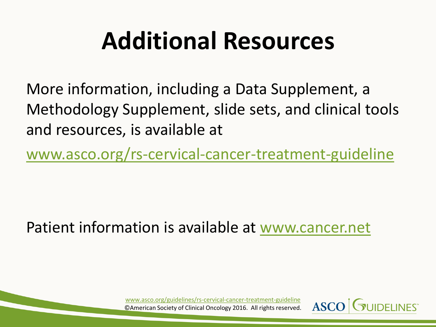### **Additional Resources**

More information, including a Data Supplement, a Methodology Supplement, slide sets, and clinical tools and resources, is available at

[www.asco.org/rs-cervical-cancer-treatment-guideline](http://www.asco.org/rs-cervical-cancer-treatment-guideline)

Patient information is available at [www.cancer.net](http://www.cancer.net/)

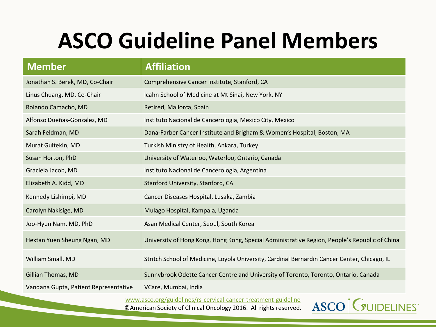### **ASCO Guideline Panel Members**

| <b>Member</b>                         | <b>Affiliation</b>                                                                            |
|---------------------------------------|-----------------------------------------------------------------------------------------------|
| Jonathan S. Berek, MD, Co-Chair       | Comprehensive Cancer Institute, Stanford, CA                                                  |
| Linus Chuang, MD, Co-Chair            | Icahn School of Medicine at Mt Sinai, New York, NY                                            |
| Rolando Camacho, MD                   | Retired, Mallorca, Spain                                                                      |
| Alfonso Dueñas-Gonzalez, MD           | Instituto Nacional de Cancerologia, Mexico City, Mexico                                       |
| Sarah Feldman, MD                     | Dana-Farber Cancer Institute and Brigham & Women's Hospital, Boston, MA                       |
| Murat Gultekin, MD                    | Turkish Ministry of Health, Ankara, Turkey                                                    |
| Susan Horton, PhD                     | University of Waterloo, Waterloo, Ontario, Canada                                             |
| Graciela Jacob, MD                    | Instituto Nacional de Cancerologia, Argentina                                                 |
| Elizabeth A. Kidd, MD                 | Stanford University, Stanford, CA                                                             |
| Kennedy Lishimpi, MD                  | Cancer Diseases Hospital, Lusaka, Zambia                                                      |
| Carolyn Nakisige, MD                  | Mulago Hospital, Kampala, Uganda                                                              |
| Joo-Hyun Nam, MD, PhD                 | Asan Medical Center, Seoul, South Korea                                                       |
| Hextan Yuen Sheung Ngan, MD           | University of Hong Kong, Hong Kong, Special Administrative Region, People's Republic of China |
| William Small, MD                     | Stritch School of Medicine, Loyola University, Cardinal Bernardin Cancer Center, Chicago, IL  |
| Gillian Thomas, MD                    | Sunnybrook Odette Cancer Centre and University of Toronto, Toronto, Ontario, Canada           |
| Vandana Gupta, Patient Representative | VCare, Mumbai, India                                                                          |

[www.asco.org/guidelines/rs-cervical-cancer-treatment-guideline](http://www.asco.org/guidelines/rs-cervical-cancer-treatment-guideline)

©American Society of Clinical Oncology 2016. All rights reserved.